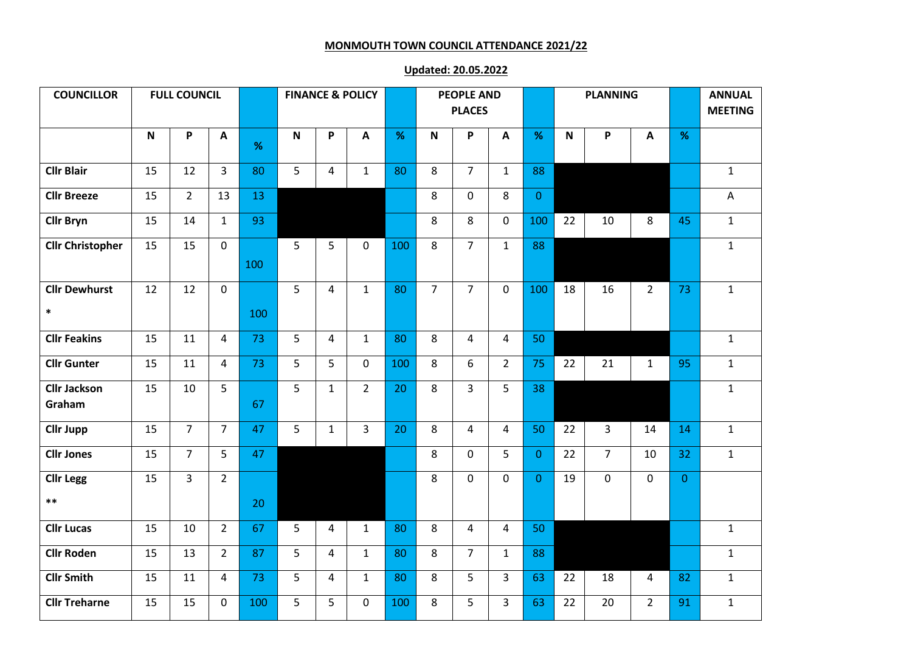## **MONMOUTH TOWN COUNCIL ATTENDANCE 2021/22**

## **Updated: 20.05.2022**

| <b>COUNCILLOR</b>              | <b>FULL COUNCIL</b> |                |                |     |             |                | <b>FINANCE &amp; POLICY</b> |      | <b>PEOPLE AND</b><br><b>PLACES</b> |                |                |                | <b>PLANNING</b> |                |                |                | <b>ANNUAL</b><br><b>MEETING</b> |
|--------------------------------|---------------------|----------------|----------------|-----|-------------|----------------|-----------------------------|------|------------------------------------|----------------|----------------|----------------|-----------------|----------------|----------------|----------------|---------------------------------|
|                                | P<br>$\mathbf N$    |                |                |     | $\mathbf N$ | P              |                             |      | P<br>$\mathsf{N}$                  |                |                |                |                 |                |                |                |                                 |
|                                |                     |                | A              | %   |             |                | $\boldsymbol{\mathsf{A}}$   | $\%$ |                                    |                | $\mathbf{A}$   | %              | $\mathsf{N}$    | P              | $\mathbf{A}$   | %              |                                 |
| <b>Cllr Blair</b>              | 15                  | 12             | $\overline{3}$ | 80  | 5           | $\overline{4}$ | $\mathbf{1}$                | 80   | 8                                  | $\overline{7}$ | $\mathbf{1}$   | 88             |                 |                |                |                | $\mathbf{1}$                    |
| <b>Cllr Breeze</b>             | 15                  | $\overline{2}$ | 13             | 13  |             |                |                             |      | 8                                  | $\mathbf 0$    | 8              | $\mathbf{0}$   |                 |                |                |                | A                               |
| <b>Cllr Bryn</b>               | 15                  | 14             | $\mathbf{1}$   | 93  |             |                |                             |      | 8                                  | 8              | $\mathbf 0$    | 100            | 22              | 10             | 8              | 45             | $\mathbf{1}$                    |
| <b>Cllr Christopher</b>        | 15                  | 15             | $\mathbf{0}$   | 100 | 5           | 5              | $\mathbf 0$                 | 100  | 8                                  | $\overline{7}$ | $\mathbf{1}$   | 88             |                 |                |                |                | $\mathbf{1}$                    |
| <b>Cllr Dewhurst</b><br>$\ast$ | 12                  | 12             | $\mathbf{0}$   | 100 | 5           | $\overline{4}$ | $\mathbf{1}$                | 80   | $\overline{7}$                     | $\overline{7}$ | $\mathbf 0$    | 100            | 18              | 16             | $2^{\circ}$    | 73             | $\mathbf{1}$                    |
| <b>Cllr Feakins</b>            | 15                  | 11             | 4              | 73  | 5           | $\overline{4}$ | $\mathbf{1}$                | 80   | 8                                  | 4              | $\overline{4}$ | 50             |                 |                |                |                | $1\,$                           |
| <b>Cllr Gunter</b>             | 15                  | 11             | $\overline{4}$ | 73  | 5           | 5              | $\mathbf 0$                 | 100  | 8                                  | 6              | $\overline{2}$ | 75             | 22              | 21             | $\mathbf{1}$   | 95             | $\mathbf{1}$                    |
| <b>Cllr Jackson</b><br>Graham  | 15                  | 10             | 5              | 67  | 5           | $\mathbf{1}$   | $\overline{2}$              | 20   | 8                                  | $\overline{3}$ | 5              | 38             |                 |                |                |                | $\mathbf{1}$                    |
| <b>Cllr Jupp</b>               | 15                  | $\overline{7}$ | $\overline{7}$ | 47  | 5           | $\mathbf{1}$   | $\overline{3}$              | 20   | 8                                  | 4              | $\overline{4}$ | 50             | 22              | 3              | 14             | 14             | $\mathbf{1}$                    |
| <b>Cllr Jones</b>              | 15                  | $\overline{7}$ | 5              | 47  |             |                |                             |      | 8                                  | $\mathbf 0$    | 5              | $\overline{0}$ | 22              | $\overline{7}$ | 10             | 32             | $\mathbf{1}$                    |
| <b>Cllr Legg</b><br>$***$      | 15                  | $\overline{3}$ | $\overline{2}$ | 20  |             |                |                             |      | 8                                  | $\mathbf 0$    | $\mathbf 0$    | $\overline{0}$ | 19              | $\mathbf{0}$   | $\mathbf{0}$   | $\overline{0}$ |                                 |
| <b>Cllr Lucas</b>              | 15                  | 10             | $\overline{2}$ | 67  | 5           | 4              | $\mathbf{1}$                | 80   | 8                                  | 4              | $\overline{4}$ | 50             |                 |                |                |                | $\mathbf{1}$                    |
| <b>Cllr Roden</b>              | 15                  | 13             | $\overline{2}$ | 87  | 5           | $\overline{4}$ | $\mathbf{1}$                | 80   | 8                                  | $\overline{7}$ | $\mathbf{1}$   | 88             |                 |                |                |                | $\mathbf{1}$                    |
| <b>Cllr Smith</b>              | 15                  | 11             | $\overline{4}$ | 73  | 5           | 4              | $\mathbf{1}$                | 80   | 8                                  | 5              | $\overline{3}$ | 63             | 22              | 18             | 4              | 82             | $\mathbf{1}$                    |
| <b>Cllr Treharne</b>           | 15                  | 15             | $\mathbf 0$    | 100 | 5           | 5              | $\mathbf{0}$                | 100  | 8                                  | 5              | $\overline{3}$ | 63             | 22              | 20             | $\overline{2}$ | 91             | $\mathbf{1}$                    |